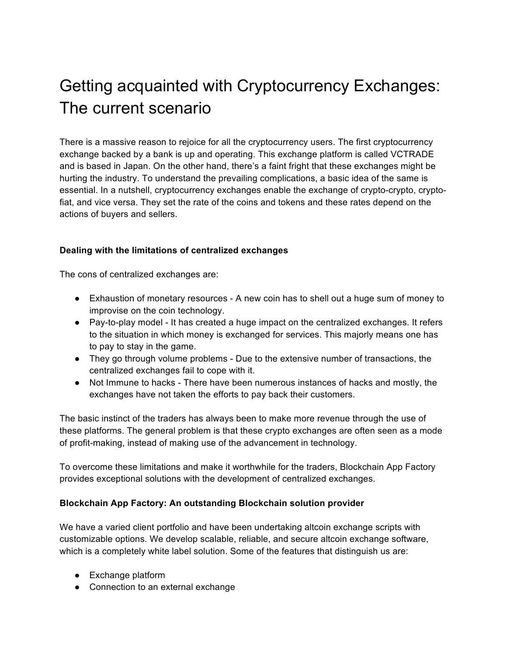## Getting acquainted with Cryptocurrency Exchanges: The current scenario

There is a massive reason to rejoice for all the cryptocurrency users. The first cryptocurrency exchange backed by a bank is up and operating. This exchange platform is called VCTRADE and is based in Japan. On the other hand, there's a faint fright that these exchanges might be hurting the industry. To understand the prevailing complications, a basic idea of the same is essential. In a nutshell, cryptocurrency exchanges enable the exchange of crypto-crypto, cryptofiat, and vice versa. They set the rate of the coins and tokens and these rates depend on the actions of buyers and sellers.

## **Dealing with the limitations of centralized exchanges**

The cons of centralized exchanges are:

- Exhaustion of monetary resources A new coin has to shell out a huge sum of money to improvise on the coin technology.
- Pay-to-play model It has created a huge impact on the centralized exchanges. It refers to the situation in which money is exchanged for services. This majorly means one has to pay to stay in the game.
- They go through volume problems Due to the extensive number of transactions, the centralized exchanges fail to cope with it.
- Not Immune to hacks There have been numerous instances of hacks and mostly, the exchanges have not taken the efforts to pay back their customers.

The basic instinct of the traders has always been to make more revenue through the use of these platforms. The general problem is that these crypto exchanges are often seen as a mode of profit-making, instead of making use of the advancement in technology.

To overcome these limitations and make it worthwhile for the traders, Blockchain App Factory provides exceptional solutions with the development of centralized exchanges.

## **Blockchain App Factory: An outstanding Blockchain solution provider**

We have a varied client portfolio and have been undertaking altcoin exchange scripts with customizable options. We develop scalable, reliable, and secure altcoin exchange software, which is a completely white label solution. Some of the features that distinguish us are:

- Exchange platform
- Connection to an external exchange